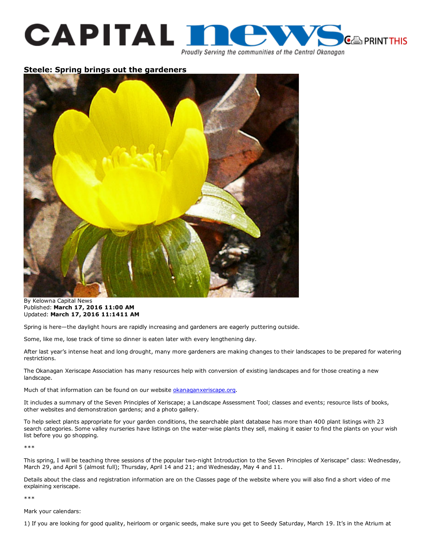

Proudly Serving the communities of the Central Okanagan

## Steele: Spring brings out the gardeners



By Kelowna Capital News Published: March 17, 2016 11:00 AM Updated: March 17, 2016 11:1411 AM

Spring is here—the daylight hours are rapidly increasing and gardeners are eagerly puttering outside.

Some, like me, lose track of time so dinner is eaten later with every lengthening day.

After last year's intense heat and long drought, many more gardeners are making changes to their landscapes to be prepared for watering restrictions.

The Okanagan Xeriscape Association has many resources help with conversion of existing landscapes and for those creating a new landscape.

Much of that information can be found on our website [okanaganxeriscape.org.](http://webpapersadmin.bpnewmedia.com/okanaganxeriscape.org)

It includes a summary of the Seven Principles of Xeriscape; a Landscape Assessment Tool; classes and events; resource lists of books, other websites and demonstration gardens; and a photo gallery.

To help select plants appropriate for your garden conditions, the searchable plant database has more than 400 plant listings with 23 search categories. Some valley nurseries have listings on the water-wise plants they sell, making it easier to find the plants on your wish list before you go shopping.

\*\*\*

This spring, I will be teaching three sessions of the popular two-night Introduction to the Seven Principles of Xeriscape" class: Wednesday, March 29, and April 5 (almost full); Thursday, April 14 and 21; and Wednesday, May 4 and 11.

Details about the class and registration information are on the Classes page of the website where you will also find a short video of me explaining xeriscape.

\*\*\*

Mark your calendars:

1) If you are looking for good quality, heirloom or organic seeds, make sure you get to Seedy Saturday, March 19. It's in the Atrium at